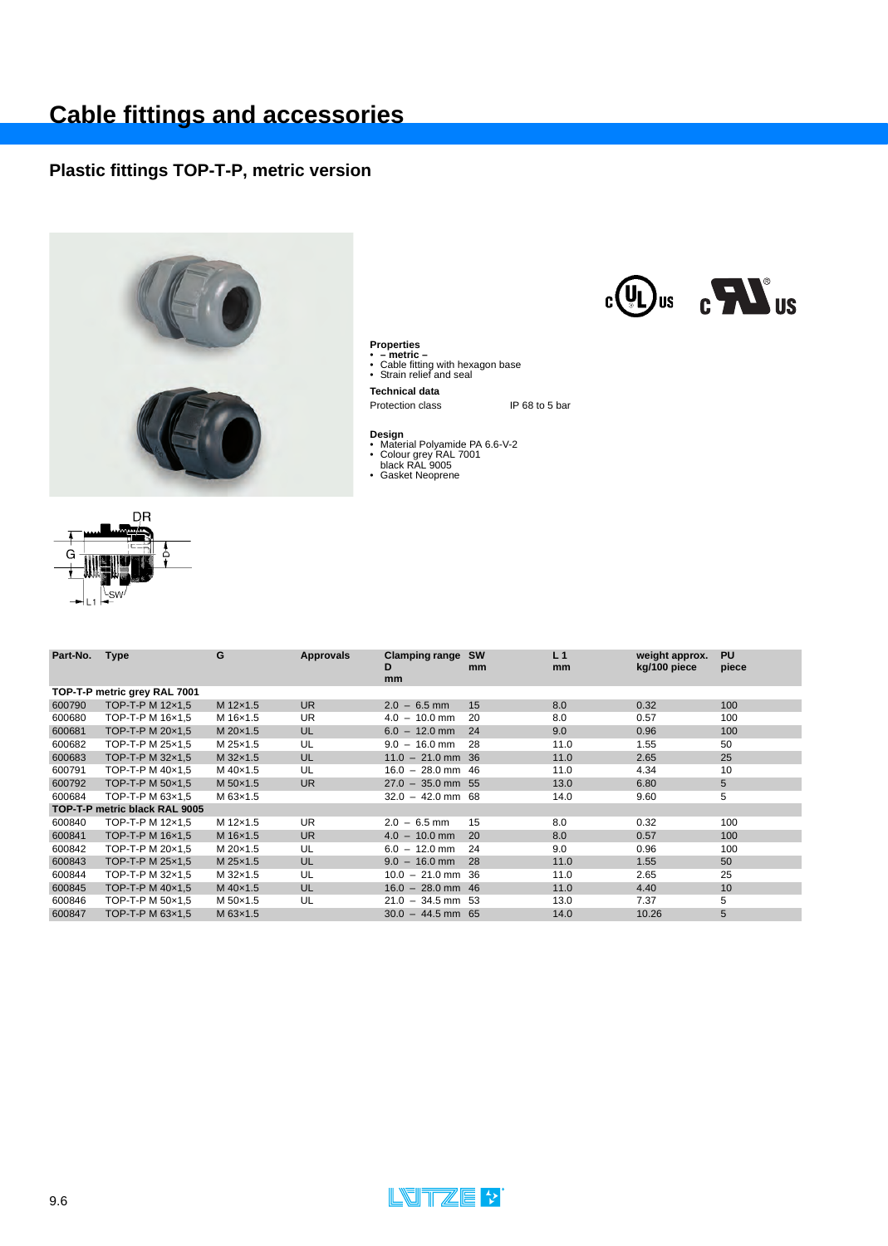## **Plastic fittings TOP-T-P, metric version**



**Properties** • **– metric –**  • Cable fitting with hexagon base • Strain relief and seal

**Technical data**

Protection class IP 68 to 5 bar

- **Design**<br>• Material Polyamide PA 6.6-V-2<br>• Colour grey RAL 7001<br>• Gasket Neoprene
	-
- 



| Part-No.                     | <b>Type</b>                   | G        | Approvals | <b>Clamping range</b><br>D<br>mm | <b>SW</b><br>mm | L <sub>1</sub><br>mm | weight approx.<br>kg/100 piece | <b>PU</b><br>piece |  |  |
|------------------------------|-------------------------------|----------|-----------|----------------------------------|-----------------|----------------------|--------------------------------|--------------------|--|--|
| TOP-T-P metric grey RAL 7001 |                               |          |           |                                  |                 |                      |                                |                    |  |  |
| 600790                       | TOP-T-P M 12×1,5              | M 12x1.5 | UR.       | $2.0 - 6.5$ mm                   | 15              | 8.0                  | 0.32                           | 100                |  |  |
| 600680                       | TOP-T-P M 16x1,5              | M 16x1.5 | UR        | $4.0 - 10.0$ mm                  | 20              | 8.0                  | 0.57                           | 100                |  |  |
| 600681                       | TOP-T-P M 20x1.5              | M 20×1.5 | UL        | $6.0 - 12.0$ mm                  | 24              | 9.0                  | 0.96                           | 100                |  |  |
| 600682                       | TOP-T-P M 25x1,5              | M 25x1.5 | UL        | $9.0 - 16.0$ mm                  | 28              | 11.0                 | 1.55                           | 50                 |  |  |
| 600683                       | TOP-T-P M $32\times1.5$       | M 32×1.5 | UL        | $11.0 - 21.0$ mm 36              |                 | 11.0                 | 2.65                           | 25                 |  |  |
| 600791                       | TOP-T-P M 40x1.5              | M 40×1.5 | UL        | $16.0 - 28.0$ mm 46              |                 | 11.0                 | 4.34                           | 10                 |  |  |
| 600792                       | TOP-T-P M 50×1,5              | M 50×1.5 | <b>UR</b> | $27.0 - 35.0$ mm 55              |                 | 13.0                 | 6.80                           | 5                  |  |  |
| 600684                       | TOP-T-P M 63x1.5              | M 63×1.5 |           | $32.0 - 42.0$ mm 68              |                 | 14.0                 | 9.60                           | 5                  |  |  |
|                              | TOP-T-P metric black RAL 9005 |          |           |                                  |                 |                      |                                |                    |  |  |
| 600840                       | TOP-T-P M 12x1,5              | M 12×1.5 | <b>UR</b> | $2.0 - 6.5$ mm                   | 15              | 8.0                  | 0.32                           | 100                |  |  |
| 600841                       | TOP-T-P M 16x1,5              | M 16×1.5 | <b>UR</b> | $4.0 - 10.0$ mm                  | 20              | 8.0                  | 0.57                           | 100                |  |  |
| 600842                       | TOP-T-P M 20x1,5              | M 20×1.5 | UL        | $6.0 - 12.0$ mm                  | 24              | 9.0                  | 0.96                           | 100                |  |  |
| 600843                       | TOP-T-P M 25x1.5              | M 25x1.5 | UL        | $9.0 - 16.0$ mm                  | 28              | 11.0                 | 1.55                           | 50                 |  |  |
| 600844                       | TOP-T-P M 32x1,5              | M 32x1.5 | UL        | $10.0 - 21.0$ mm 36              |                 | 11.0                 | 2.65                           | 25                 |  |  |
| 600845                       | TOP-T-P M 40×1,5              | M 40×1.5 | UL        | $16.0 - 28.0$ mm 46              |                 | 11.0                 | 4.40                           | 10 <sup>°</sup>    |  |  |
| 600846                       | TOP-T-P M 50x1,5              | M 50×1.5 | UL        | $21.0 - 34.5$ mm 53              |                 | 13.0                 | 7.37                           | 5                  |  |  |
| 600847                       | TOP-T-P M 63x1,5              | M 63x1.5 |           | $30.0 - 44.5$ mm 65              |                 | 14.0                 | 10.26                          | 5                  |  |  |
|                              |                               |          |           |                                  |                 |                      |                                |                    |  |  |





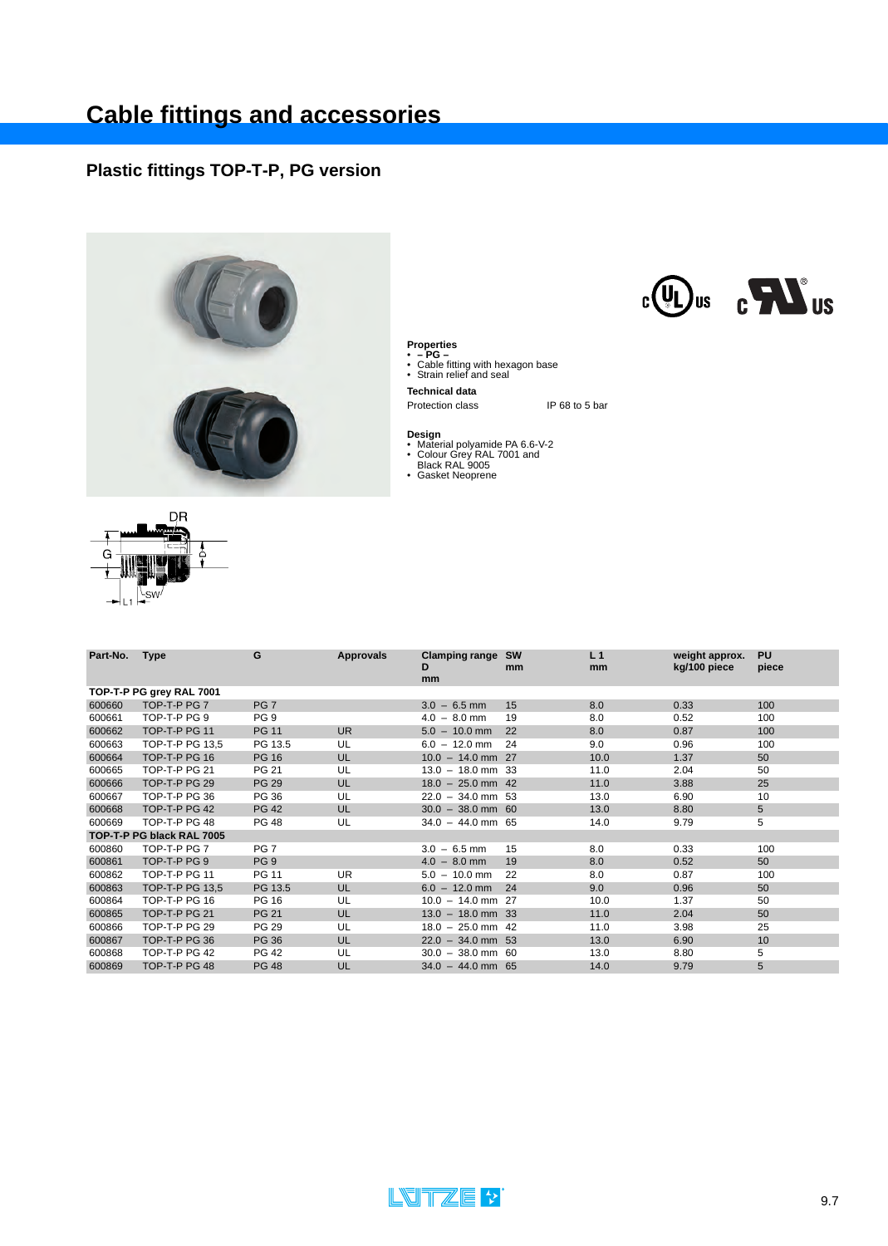## **Plastic fittings TOP-T-P, PG version**



- **Properties PG –** Cable fitting with hexagon base Strain relief and seal
- 
- **Technical data**

IP 68 to 5 bar

- **Design** Material polyamide PA 6.6-V-2 Colour Grey RAL 7001 and Black RAL 9005 Gasket Neoprene
- 
- 



| Part-No.                 | <b>Type</b>               | G               | <b>Approvals</b> | <b>Clamping range</b><br>D | sw<br><sub>mm</sub> | L <sub>1</sub><br>mm | weight approx.<br>kg/100 piece | <b>PU</b><br>piece |
|--------------------------|---------------------------|-----------------|------------------|----------------------------|---------------------|----------------------|--------------------------------|--------------------|
|                          |                           |                 |                  | <sub>mm</sub>              |                     |                      |                                |                    |
| TOP-T-P PG grey RAL 7001 |                           |                 |                  |                            |                     |                      |                                |                    |
| 600660                   | TOP-T-P PG 7              | PG <sub>7</sub> |                  | $3.0 - 6.5$ mm             | 15                  | 8.0                  | 0.33                           | 100                |
| 600661                   | TOP-T-P PG 9              | PG <sub>9</sub> |                  | $4.0 - 8.0$ mm             | 19                  | 8.0                  | 0.52                           | 100                |
| 600662                   | TOP-T-P PG 11             | <b>PG 11</b>    | <b>UR</b>        | $5.0 - 10.0$ mm            | 22                  | 8.0                  | 0.87                           | 100                |
| 600663                   | TOP-T-P PG 13.5           | PG 13.5         | UL               | $6.0 - 12.0$ mm            | 24                  | 9.0                  | 0.96                           | 100                |
| 600664                   | TOP-T-P PG 16             | <b>PG 16</b>    | UL               | $10.0 - 14.0$ mm 27        |                     | 10.0                 | 1.37                           | 50                 |
| 600665                   | TOP-T-P PG 21             | PG 21           | UL               | $13.0 - 18.0$ mm 33        |                     | 11.0                 | 2.04                           | 50                 |
| 600666                   | TOP-T-P PG 29             | <b>PG 29</b>    | UL               | $18.0 - 25.0$ mm 42        |                     | 11.0                 | 3.88                           | 25                 |
| 600667                   | TOP-T-P PG 36             | PG 36           | UL               | $22.0 - 34.0$ mm 53        |                     | 13.0                 | 6.90                           | 10                 |
| 600668                   | TOP-T-P PG 42             | <b>PG 42</b>    | UL               | $30.0 - 38.0$ mm 60        |                     | 13.0                 | 8.80                           | 5                  |
| 600669                   | TOP-T-P PG 48             | PG 48           | UL               | $34.0 - 44.0$ mm 65        |                     | 14.0                 | 9.79                           | 5                  |
|                          | TOP-T-P PG black RAL 7005 |                 |                  |                            |                     |                      |                                |                    |
| 600860                   | TOP-T-P PG 7              | PG <sub>7</sub> |                  | $3.0 - 6.5$ mm             | 15                  | 8.0                  | 0.33                           | 100                |
| 600861                   | TOP-T-P PG 9              | PG <sub>9</sub> |                  | $4.0 - 8.0$ mm             | 19                  | 8.0                  | 0.52                           | 50                 |
| 600862                   | <b>TOP-T-P PG 11</b>      | PG 11           | <b>UR</b>        | $5.0 - 10.0$ mm            | 22                  | 8.0                  | 0.87                           | 100                |
| 600863                   | TOP-T-P PG 13,5           | PG 13.5         | UL               | $6.0 - 12.0$ mm            | 24                  | 9.0                  | 0.96                           | 50                 |
| 600864                   | TOP-T-P PG 16             | PG 16           | UL               | $10.0 - 14.0$ mm 27        |                     | 10.0                 | 1.37                           | 50                 |
| 600865                   | TOP-T-P PG 21             | <b>PG 21</b>    | UL               | $13.0 - 18.0$ mm 33        |                     | 11.0                 | 2.04                           | 50                 |
| 600866                   | TOP-T-P PG 29             | <b>PG 29</b>    | UL               | $18.0 - 25.0$ mm 42        |                     | 11.0                 | 3.98                           | 25                 |
| 600867                   | TOP-T-P PG 36             | <b>PG 36</b>    | UL               | $22.0 - 34.0$ mm 53        |                     | 13.0                 | 6.90                           | 10                 |
| 600868                   | TOP-T-P PG 42             | <b>PG 42</b>    | UL               | $30.0 - 38.0$ mm 60        |                     | 13.0                 | 8.80                           | 5                  |
| 600869                   | TOP-T-P PG 48             | <b>PG 48</b>    | UL               | $34.0 - 44.0$ mm 65        |                     | 14.0                 | 9.79                           | 5                  |



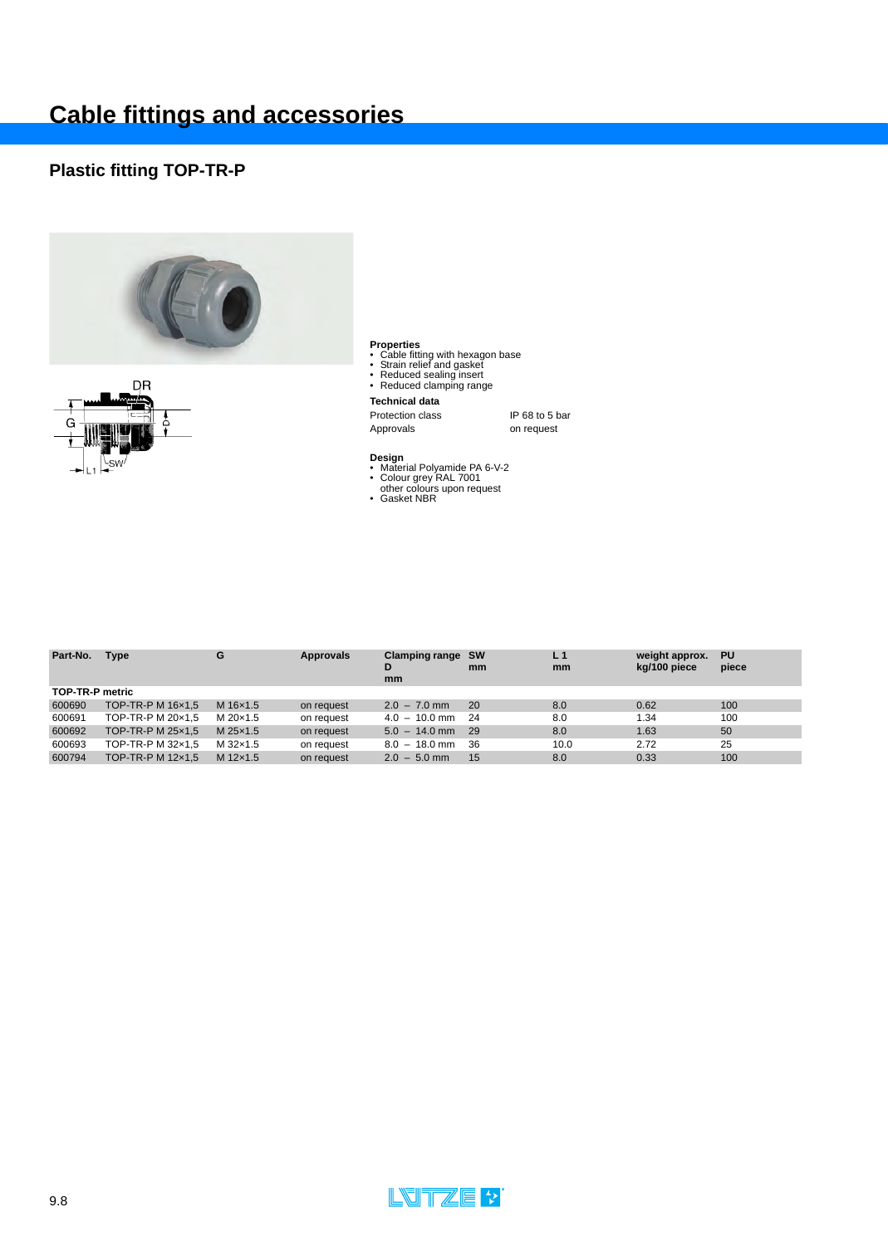## **Plastic fitting TOP-TR-P**





- **Properties**<br>• Cable fitting with hexagon base<br>• Strain relief and gasket<br>• Reduced sealing insert<br>• Reduced clamping range
- 
- 
- 

### **Technical data**

Protection class IP 68 to 5 bar<br>Approvals on request on request

- 
- **Design**<br>• Material Polyamide PA 6-V-2<br>• Colour grey RAL 7001<br>• Gasket NBR
- 

| Part-No. | <b>Type</b>            | G        | Approvals  | Clamping range SW<br>D<br>mm | mm   | L <sub>1</sub><br>mm | weight approx.<br>kg/100 piece | <b>PU</b><br>piece |  |
|----------|------------------------|----------|------------|------------------------------|------|----------------------|--------------------------------|--------------------|--|
|          | <b>TOP-TR-P metric</b> |          |            |                              |      |                      |                                |                    |  |
| 600690   | TOP-TR-P M 16x1.5      | M 16x1.5 | on request | $2.0 - 7.0$ mm               | -20  | 8.0                  | 0.62                           | 100                |  |
| 600691   | TOP-TR-P M 20x1.5      | M 20×1.5 | on request | $4.0 - 10.0$ mm 24           |      | 8.0                  | 1.34                           | 100                |  |
| 600692   | TOP-TR-P M 25x1.5      | M 25x1.5 | on request | $5.0 - 14.0$ mm 29           |      | 8.0                  | 1.63                           | 50                 |  |
| 600693   | TOP-TR-P M 32x1.5      | M 32×1.5 | on request | $8.0 - 18.0$ mm              | - 36 | 10.0                 | 2.72                           | 25                 |  |
| 600794   | TOP-TR-P M 12x1.5      | M 12x1.5 | on request | $2.0 - 5.0$ mm               | - 15 | 8.0                  | 0.33                           | 100                |  |

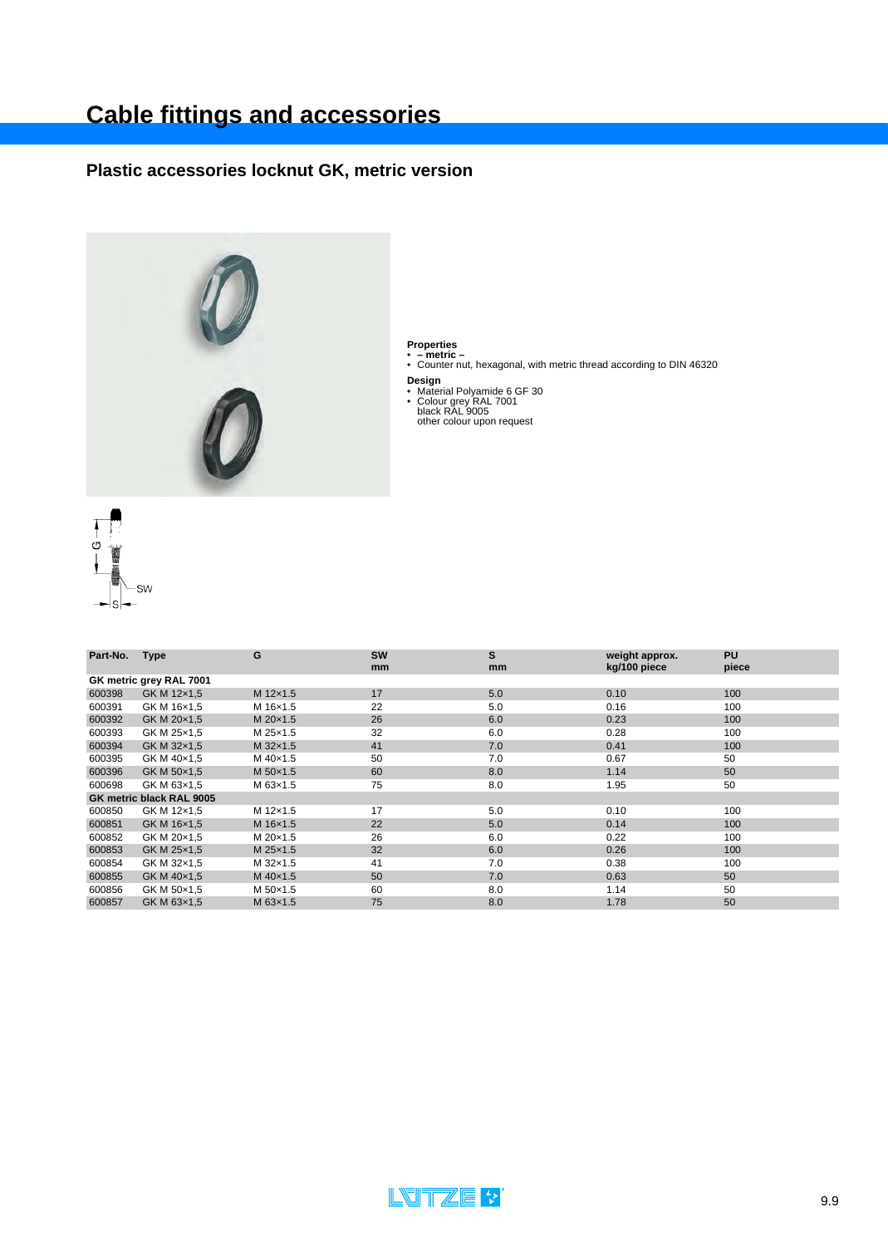## **Plastic accessories locknut GK, metric version**



- **Properties**<br>• **metric –**<br>• Counter nut, hexagonal, with metric thread according to DIN 46320
	-
- **Design<br>
•** Material Polyamide 6 GF 30<br>
 Colour grey RAL 7001<br>
black RAL 9005<br>
other colour upon request
- -



| Part-No.                | <b>Type</b>              | G        | <b>SW</b> | S   | weight approx. | <b>PU</b> |  |  |  |  |
|-------------------------|--------------------------|----------|-----------|-----|----------------|-----------|--|--|--|--|
|                         |                          |          | mm        | mm  | kg/100 piece   | piece     |  |  |  |  |
| GK metric grey RAL 7001 |                          |          |           |     |                |           |  |  |  |  |
| 600398                  | GK M 12x1,5              | M 12x1.5 | 17        | 5.0 | 0.10           | 100       |  |  |  |  |
| 600391                  | GK M 16x1,5              | M 16x1.5 | 22        | 5.0 | 0.16           | 100       |  |  |  |  |
| 600392                  | GK M 20x1,5              | M 20×1.5 | 26        | 6.0 | 0.23           | 100       |  |  |  |  |
| 600393                  | GK M 25x1,5              | M 25x1.5 | 32        | 6.0 | 0.28           | 100       |  |  |  |  |
| 600394                  | GK M 32x1,5              | M 32×1.5 | 41        | 7.0 | 0.41           | 100       |  |  |  |  |
| 600395                  | GK M 40×1,5              | M 40×1.5 | 50        | 7.0 | 0.67           | 50        |  |  |  |  |
| 600396                  | GK M 50x1,5              | M 50×1.5 | 60        | 8.0 | 1.14           | 50        |  |  |  |  |
| 600698                  | GK M 63x1,5              | M 63x1.5 | 75        | 8.0 | 1.95           | 50        |  |  |  |  |
|                         | GK metric black RAL 9005 |          |           |     |                |           |  |  |  |  |
| 600850                  | GK M 12x1,5              | M 12x1.5 | 17        | 5.0 | 0.10           | 100       |  |  |  |  |
| 600851                  | GK M 16x1,5              | M 16x1.5 | 22        | 5.0 | 0.14           | 100       |  |  |  |  |
| 600852                  | GK M 20x1,5              | M 20×1.5 | 26        | 6.0 | 0.22           | 100       |  |  |  |  |
| 600853                  | GK M 25x1,5              | M 25x1.5 | 32        | 6.0 | 0.26           | 100       |  |  |  |  |
| 600854                  | GK M 32x1,5              | M 32x1.5 | 41        | 7.0 | 0.38           | 100       |  |  |  |  |
| 600855                  | GK M 40×1,5              | M 40×1.5 | 50        | 7.0 | 0.63           | 50        |  |  |  |  |
| 600856                  | GK M 50x1,5              | M 50×1.5 | 60        | 8.0 | 1.14           | 50        |  |  |  |  |
| 600857                  | GK M 63x1,5              | M 63x1.5 | 75        | 8.0 | 1.78           | 50        |  |  |  |  |